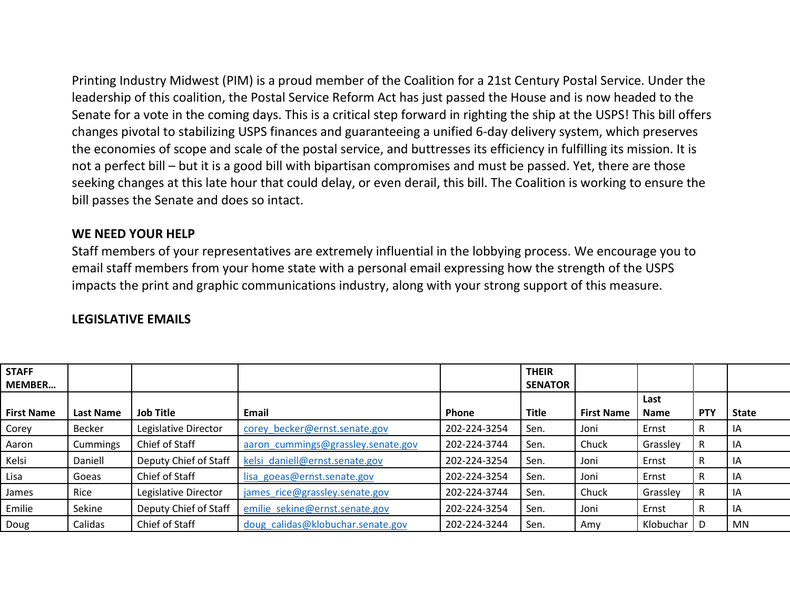Printing Industry Midwest (PIM) is a proud member of the Coalition for a 21st Century Postal Service. Under the leadership of this coalition, the Postal Service Reform Act has just passed the House and is now headed to the Senate for a vote in the coming days. This is a critical step forward in righting the ship at the USPS! This bill offers changes pivotal to stabilizing USPS finances and guaranteeing a unified 6-day delivery system, which preserves the economies of scope and scale of the postal service, and buttresses its efficiency in fulfilling its mission. It is not a perfect bill – but it is a good bill with bipartisan compromises and must be passed. Yet, there are those seeking changes at this late hour that could delay, or even derail, this bill. The Coalition is working to ensure the bill passes the Senate and does so intact.

## **WE NEED YOUR HELP**

Staff members of your representatives are extremely influential in the lobbying process. We encourage you to email staff members from your home state with a personal email expressing how the strength of the USPS impacts the print and graphic communications industry, along with your strong support of this measure.

| <b>STAFF</b><br><b>MEMBER</b> |                  |                       |                                    |              | <b>THEIR</b><br><b>SENATOR</b> |                   |                     |            |              |
|-------------------------------|------------------|-----------------------|------------------------------------|--------------|--------------------------------|-------------------|---------------------|------------|--------------|
| <b>First Name</b>             | <b>Last Name</b> | <b>Job Title</b>      | Email                              | <b>Phone</b> | <b>Title</b>                   | <b>First Name</b> | Last<br><b>Name</b> | <b>PTY</b> | <b>State</b> |
| Corey                         | Becker           | Legislative Director  | corey becker@ernst.senate.gov      | 202-224-3254 | Sen.                           | Joni              | Ernst               | R          | ΙA           |
| Aaron                         | Cummings         | Chief of Staff        | aaron cummings@grassley.senate.gov | 202-224-3744 | Sen.                           | Chuck             | Grassley            |            | ΙA           |
| Kelsi                         | Daniell          | Deputy Chief of Staff | kelsi daniell@ernst.senate.gov     | 202-224-3254 | Sen.                           | Joni              | Ernst               | R          | IA           |
| Lisa                          | Goeas            | Chief of Staff        | lisa goeas@ernst.senate.gov        | 202-224-3254 | Sen.                           | Joni              | Ernst               | R          | ΙA           |
| James                         | Rice             | Legislative Director  | james rice@grassley.senate.gov     | 202-224-3744 | Sen.                           | Chuck             | Grassley            | R          | IA           |
| Emilie                        | Sekine           | Deputy Chief of Staff | emilie sekine@ernst.senate.gov     | 202-224-3254 | Sen.                           | Joni              | Ernst               | R          | ΙA           |
| Doug                          | Calidas          | Chief of Staff        | doug calidas@klobuchar.senate.gov  | 202-224-3244 | Sen.                           | Amv               | Klobuchar   D       |            | MN           |

## **LEGISLATIVE EMAILS**